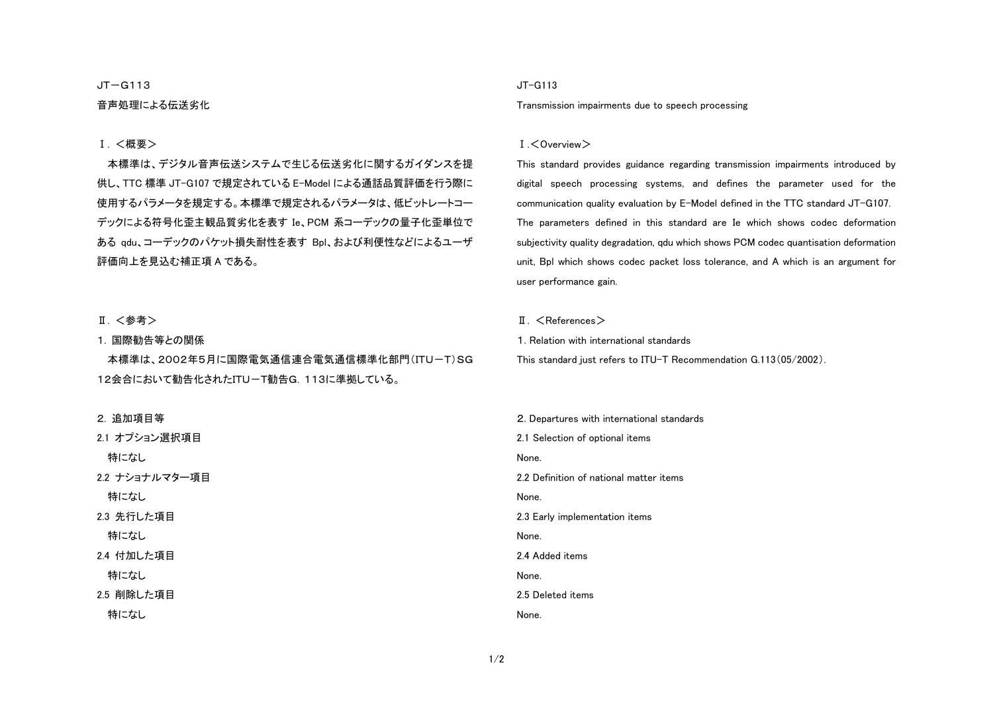#### $JT-G113$

### 音声処理による伝送劣化

### Ⅰ. <概要>

本標準は、デジタル音声伝送システムで生じる伝送劣化に関するガイダンスを提供し、TTC 標準 JT-G107 で規定されている E-Model による通話品質評価を行う際に 使用するパラメータを規定する。本標準で規定されるパラメータは、低ビットレートコーデックによる符号化歪主観品質劣化を表す Ie、PCM 系コーデックの量子化歪単位で ある qdu、コーデックのパケット損失耐性を表す Bpl、および利便性などによるユーザ 評価向上を見込む補正項 A である。

#### Ⅱ. <参考>

#### 1. 国際勧告等との関係

本標準は、2002年5月に国際電気通信連合電気通信標準化部門(ITU-T)SG 12会合において勧告化されたITU-T勧告G.113に準拠している。

2. 追加項目等

2.1 オプション選択項目 特になし 2.2 ナショナルマター項目 特になし 2.3 先行した項目 特になし 2.4 付加した項目 特になし 2.5 削除した項目 特になし

### JT-G113

Transmission impairments due to speech processing

#### Ⅰ.<Overview>

This standard provides guidance regarding transmission impairments introduced by digital speech processing systems, and defines the parameter used for the communication quality evaluation by E-Model defined in the TTC standard JT-G107. The parameters defined in this standard are Ie which shows codec deformation subjectivity quality degradation, qdu which shows PCM codec quantisation deformation unit, Bpl which shows codec packet loss tolerance, and A which is an argument for user performance gain.

#### II. <References>

1. Relation with international standards

This standard just refers to ITU-T Recommendation G.113(05/2002).

2. Departures with international standards 2.1 Selection of optional items None. 2.2 Definition of national matter items None. 2.3 Early implementation items None. 2.4 Added items None. 2.5 Deleted items None.